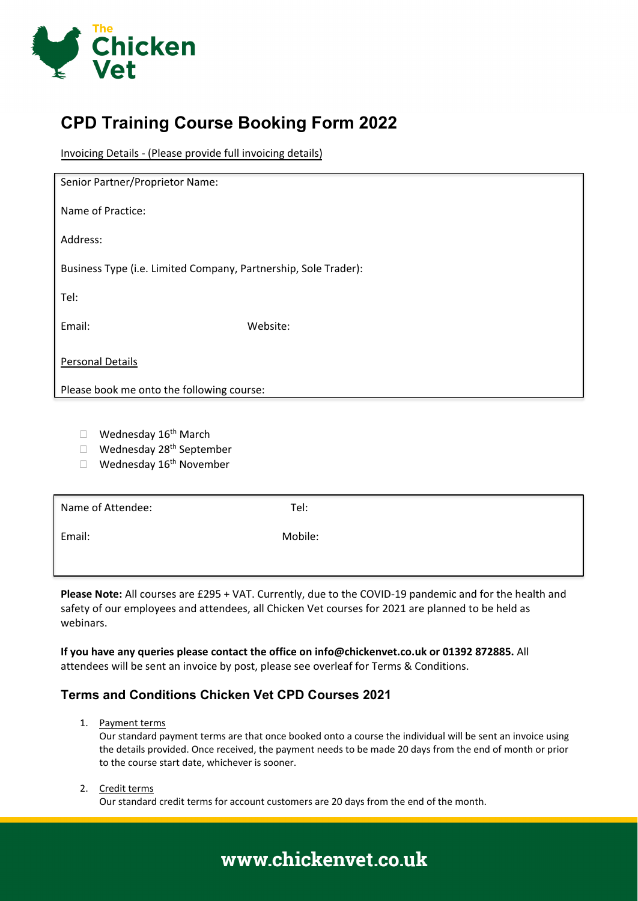

## **CPD Training Course Booking Form 2022**

Invoicing Details - (Please provide full invoicing details)

| Senior Partner/Proprietor Name:                                 |          |  |
|-----------------------------------------------------------------|----------|--|
| Name of Practice:                                               |          |  |
| Address:                                                        |          |  |
| Business Type (i.e. Limited Company, Partnership, Sole Trader): |          |  |
| Tel:                                                            |          |  |
| Email:                                                          | Website: |  |
| <b>Personal Details</b>                                         |          |  |
| Please book me onto the following course:                       |          |  |

- $\Box$  Wednesday 16<sup>th</sup> March
- □ Wednesday 28<sup>th</sup> September
- $\Box$  Wednesday 16<sup>th</sup> November

| Name of Attendee: | Tel:    |
|-------------------|---------|
| Email:            | Mobile: |
|                   |         |

**Please Note:** All courses are £295 + VAT. Currently, due to the COVID-19 pandemic and for the health and safety of our employees and attendees, all Chicken Vet courses for 2021 are planned to be held as webinars.

**If you have any queries please contact the office on info@chickenvet.co.uk or 01392 872885.** All attendees will be sent an invoice by post, please see overleaf for Terms & Conditions.

### **Terms and Conditions Chicken Vet CPD Courses 2021**

1. Payment terms

Our standard payment terms are that once booked onto a course the individual will be sent an invoice using the details provided. Once received, the payment needs to be made 20 days from the end of month or prior to the course start date, whichever is sooner.

#### 2. Credit terms

Our standard credit terms for account customers are 20 days from the end of the month.

# www.chickenvet.co.uk